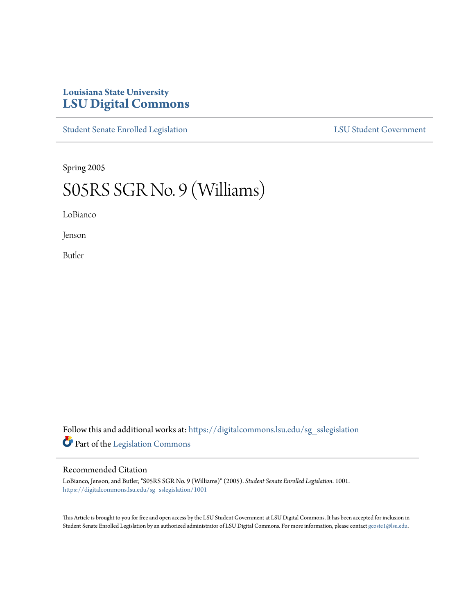## **Louisiana State University [LSU Digital Commons](https://digitalcommons.lsu.edu?utm_source=digitalcommons.lsu.edu%2Fsg_sslegislation%2F1001&utm_medium=PDF&utm_campaign=PDFCoverPages)**

[Student Senate Enrolled Legislation](https://digitalcommons.lsu.edu/sg_sslegislation?utm_source=digitalcommons.lsu.edu%2Fsg_sslegislation%2F1001&utm_medium=PDF&utm_campaign=PDFCoverPages) [LSU Student Government](https://digitalcommons.lsu.edu/sg?utm_source=digitalcommons.lsu.edu%2Fsg_sslegislation%2F1001&utm_medium=PDF&utm_campaign=PDFCoverPages)

Spring 2005

## S05RS SGR No. 9 (Williams)

LoBianco

Jenson

Butler

Follow this and additional works at: [https://digitalcommons.lsu.edu/sg\\_sslegislation](https://digitalcommons.lsu.edu/sg_sslegislation?utm_source=digitalcommons.lsu.edu%2Fsg_sslegislation%2F1001&utm_medium=PDF&utm_campaign=PDFCoverPages) Part of the [Legislation Commons](http://network.bepress.com/hgg/discipline/859?utm_source=digitalcommons.lsu.edu%2Fsg_sslegislation%2F1001&utm_medium=PDF&utm_campaign=PDFCoverPages)

## Recommended Citation

LoBianco, Jenson, and Butler, "S05RS SGR No. 9 (Williams)" (2005). *Student Senate Enrolled Legislation*. 1001. [https://digitalcommons.lsu.edu/sg\\_sslegislation/1001](https://digitalcommons.lsu.edu/sg_sslegislation/1001?utm_source=digitalcommons.lsu.edu%2Fsg_sslegislation%2F1001&utm_medium=PDF&utm_campaign=PDFCoverPages)

This Article is brought to you for free and open access by the LSU Student Government at LSU Digital Commons. It has been accepted for inclusion in Student Senate Enrolled Legislation by an authorized administrator of LSU Digital Commons. For more information, please contact [gcoste1@lsu.edu.](mailto:gcoste1@lsu.edu)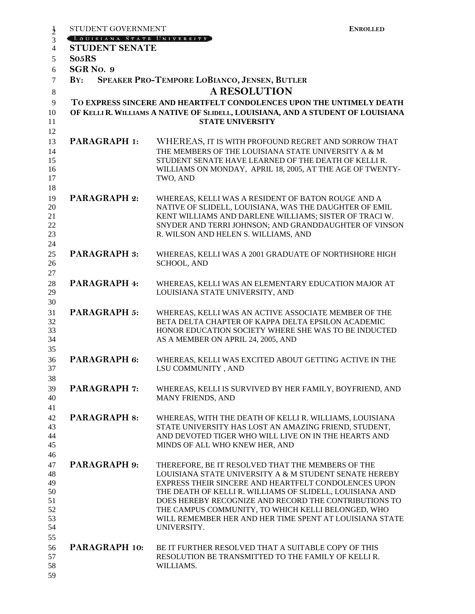| $\frac{1}{2}$                                      | STUDENT GOVERNMENT                                                                                                                                                                                        | <b>ENROLLED</b>                                                                                                                                                                                                                                                                                                                                                                                                          |  |  |
|----------------------------------------------------|-----------------------------------------------------------------------------------------------------------------------------------------------------------------------------------------------------------|--------------------------------------------------------------------------------------------------------------------------------------------------------------------------------------------------------------------------------------------------------------------------------------------------------------------------------------------------------------------------------------------------------------------------|--|--|
| 3                                                  | [LOUISIANA STATE UNIVERSITY]                                                                                                                                                                              |                                                                                                                                                                                                                                                                                                                                                                                                                          |  |  |
| $\overline{4}$                                     | <b>STUDENT SENATE</b>                                                                                                                                                                                     |                                                                                                                                                                                                                                                                                                                                                                                                                          |  |  |
| 5                                                  | So <sub>5</sub> RS                                                                                                                                                                                        |                                                                                                                                                                                                                                                                                                                                                                                                                          |  |  |
| 6                                                  | SGR <sub>NO.</sub> 9                                                                                                                                                                                      |                                                                                                                                                                                                                                                                                                                                                                                                                          |  |  |
| $\tau$                                             | $\mathbf{B} \mathbf{Y}$ :                                                                                                                                                                                 | SPEAKER PRO-TEMPORE LOBIANCO, JENSEN, BUTLER                                                                                                                                                                                                                                                                                                                                                                             |  |  |
| $\,8\,$                                            | <b>A RESOLUTION</b><br>TO EXPRESS SINCERE AND HEARTFELT CONDOLENCES UPON THE UNTIMELY DEATH<br>OF KELLI R. WILLIAMS A NATIVE OF SLIDELL, LOUISIANA, AND A STUDENT OF LOUISIANA<br><b>STATE UNIVERSITY</b> |                                                                                                                                                                                                                                                                                                                                                                                                                          |  |  |
| $\overline{9}$<br>10<br>11                         |                                                                                                                                                                                                           |                                                                                                                                                                                                                                                                                                                                                                                                                          |  |  |
| 12                                                 |                                                                                                                                                                                                           |                                                                                                                                                                                                                                                                                                                                                                                                                          |  |  |
| 13<br>14<br>15<br>16<br>17<br>18                   | <b>PARAGRAPH 1:</b>                                                                                                                                                                                       | WHEREAS, IT IS WITH PROFOUND REGRET AND SORROW THAT<br>THE MEMBERS OF THE LOUISIANA STATE UNIVERSITY A & M<br>STUDENT SENATE HAVE LEARNED OF THE DEATH OF KELLI R.<br>WILLIAMS ON MONDAY, APRIL 18, 2005, AT THE AGE OF TWENTY-<br>TWO, AND                                                                                                                                                                              |  |  |
| 19<br>20<br>21<br>22<br>23<br>24                   | <b>PARAGRAPH 2:</b>                                                                                                                                                                                       | WHEREAS, KELLI WAS A RESIDENT OF BATON ROUGE AND A<br>NATIVE OF SLIDELL, LOUISIANA, WAS THE DAUGHTER OF EMIL<br>KENT WILLIAMS AND DARLENE WILLIAMS; SISTER OF TRACI W.<br>SNYDER AND TERRI JOHNSON; AND GRANDDAUGHTER OF VINSON<br>R. WILSON AND HELEN S. WILLIAMS, AND                                                                                                                                                  |  |  |
| 25<br>26<br>27                                     | <b>PARAGRAPH 3:</b>                                                                                                                                                                                       | WHEREAS, KELLI WAS A 2001 GRADUATE OF NORTHSHORE HIGH<br><b>SCHOOL, AND</b>                                                                                                                                                                                                                                                                                                                                              |  |  |
| 28<br>29<br>30                                     | PARAGRAPH 4:                                                                                                                                                                                              | WHEREAS, KELLI WAS AN ELEMENTARY EDUCATION MAJOR AT<br>LOUISIANA STATE UNIVERSITY, AND                                                                                                                                                                                                                                                                                                                                   |  |  |
| 31<br>32<br>33<br>34<br>35                         | <b>PARAGRAPH 5:</b>                                                                                                                                                                                       | WHEREAS, KELLI WAS AN ACTIVE ASSOCIATE MEMBER OF THE<br>BETA DELTA CHAPTER OF KAPPA DELTA EPSILON ACADEMIC<br>HONOR EDUCATION SOCIETY WHERE SHE WAS TO BE INDUCTED<br>AS A MEMBER ON APRIL 24, 2005, AND                                                                                                                                                                                                                 |  |  |
| 36<br>37<br>38                                     | PARAGRAPH 6:                                                                                                                                                                                              | WHEREAS, KELLI WAS EXCITED ABOUT GETTING ACTIVE IN THE<br>LSU COMMUNITY, AND                                                                                                                                                                                                                                                                                                                                             |  |  |
| 39<br>40<br>41                                     | <b>PARAGRAPH 7:</b>                                                                                                                                                                                       | WHEREAS, KELLI IS SURVIVED BY HER FAMILY, BOYFRIEND, AND<br>MANY FRIENDS, AND                                                                                                                                                                                                                                                                                                                                            |  |  |
| 42<br>43<br>44<br>45<br>46                         | <b>PARAGRAPH 8:</b>                                                                                                                                                                                       | WHEREAS, WITH THE DEATH OF KELLI R. WILLIAMS, LOUISIANA<br>STATE UNIVERSITY HAS LOST AN AMAZING FRIEND, STUDENT,<br>AND DEVOTED TIGER WHO WILL LIVE ON IN THE HEARTS AND<br>MINDS OF ALL WHO KNEW HER, AND                                                                                                                                                                                                               |  |  |
| 47<br>48<br>49<br>50<br>51<br>52<br>53<br>54<br>55 | <b>PARAGRAPH 9:</b>                                                                                                                                                                                       | THEREFORE, BE IT RESOLVED THAT THE MEMBERS OF THE<br>LOUISIANA STATE UNIVERSITY A & M STUDENT SENATE HEREBY<br>EXPRESS THEIR SINCERE AND HEARTFELT CONDOLENCES UPON<br>THE DEATH OF KELLI R. WILLIAMS OF SLIDELL, LOUISIANA AND<br>DOES HEREBY RECOGNIZE AND RECORD THE CONTRIBUTIONS TO<br>THE CAMPUS COMMUNITY, TO WHICH KELLI BELONGED, WHO<br>WILL REMEMBER HER AND HER TIME SPENT AT LOUISIANA STATE<br>UNIVERSITY. |  |  |
| 56<br>57<br>58<br>59                               | PARAGRAPH 10:                                                                                                                                                                                             | BE IT FURTHER RESOLVED THAT A SUITABLE COPY OF THIS<br>RESOLUTION BE TRANSMITTED TO THE FAMILY OF KELLI R.<br>WILLIAMS.                                                                                                                                                                                                                                                                                                  |  |  |